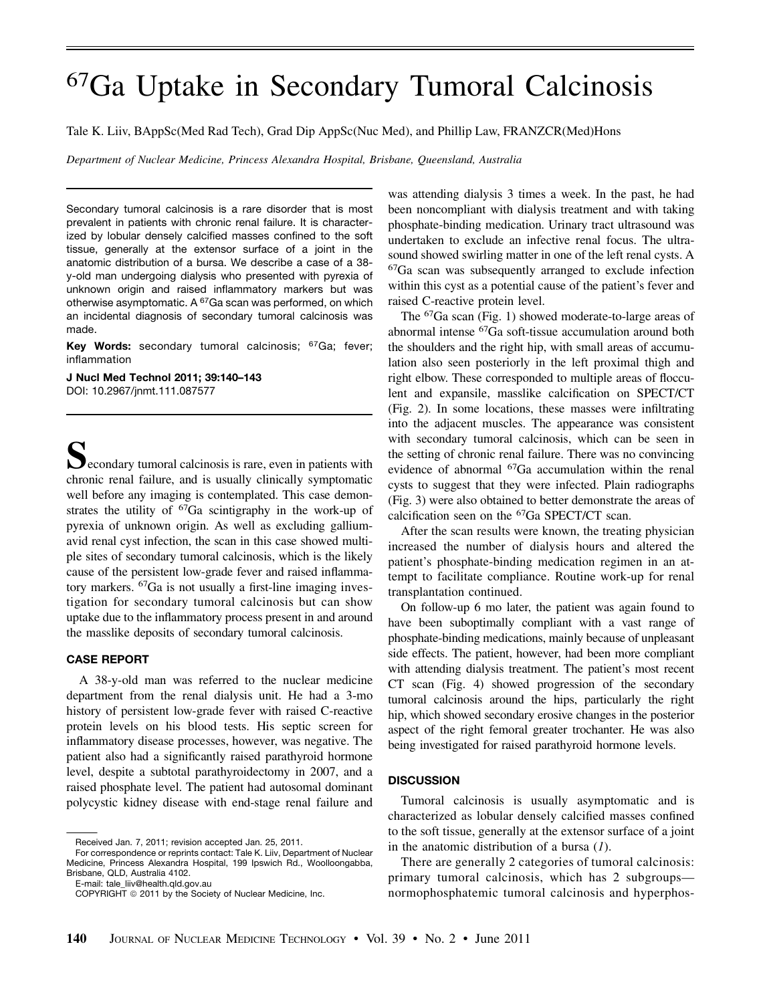## 67Ga Uptake in Secondary Tumoral Calcinosis

Tale K. Liiv, BAppSc(Med Rad Tech), Grad Dip AppSc(Nuc Med), and Phillip Law, FRANZCR(Med)Hons

Department of Nuclear Medicine, Princess Alexandra Hospital, Brisbane, Queensland, Australia

Secondary tumoral calcinosis is a rare disorder that is most prevalent in patients with chronic renal failure. It is characterized by lobular densely calcified masses confined to the soft tissue, generally at the extensor surface of a joint in the anatomic distribution of a bursa. We describe a case of a 38 y-old man undergoing dialysis who presented with pyrexia of unknown origin and raised inflammatory markers but was otherwise asymptomatic. A <sup>67</sup>Ga scan was performed, on which an incidental diagnosis of secondary tumoral calcinosis was made.

Key Words: secondary tumoral calcinosis; <sup>67</sup>Ga; fever; inflammation

J Nucl Med Technol 2011; 39:140–143 DOI: 10.2967/jnmt.111.087577

 $\sum$  econdary tumoral calcinosis is rare, even in patients with chronic renal failure, and is usually clinically symptomatic well before any imaging is contemplated. This case demonstrates the utility of 67Ga scintigraphy in the work-up of pyrexia of unknown origin. As well as excluding galliumavid renal cyst infection, the scan in this case showed multiple sites of secondary tumoral calcinosis, which is the likely cause of the persistent low-grade fever and raised inflammatory markers. 67Ga is not usually a first-line imaging investigation for secondary tumoral calcinosis but can show uptake due to the inflammatory process present in and around the masslike deposits of secondary tumoral calcinosis.

## CASE REPORT

A 38-y-old man was referred to the nuclear medicine department from the renal dialysis unit. He had a 3-mo history of persistent low-grade fever with raised C-reactive protein levels on his blood tests. His septic screen for inflammatory disease processes, however, was negative. The patient also had a significantly raised parathyroid hormone level, despite a subtotal parathyroidectomy in 2007, and a raised phosphate level. The patient had autosomal dominant polycystic kidney disease with end-stage renal failure and

E-mail: tale\_liiv@health.qld.gov.au

was attending dialysis 3 times a week. In the past, he had been noncompliant with dialysis treatment and with taking phosphate-binding medication. Urinary tract ultrasound was undertaken to exclude an infective renal focus. The ultrasound showed swirling matter in one of the left renal cysts. A 67Ga scan was subsequently arranged to exclude infection within this cyst as a potential cause of the patient's fever and raised C-reactive protein level.

The 67Ga scan (Fig. 1) showed moderate-to-large areas of abnormal intense 67Ga soft-tissue accumulation around both the shoulders and the right hip, with small areas of accumulation also seen posteriorly in the left proximal thigh and right elbow. These corresponded to multiple areas of flocculent and expansile, masslike calcification on SPECT/CT (Fig. 2). In some locations, these masses were infiltrating into the adjacent muscles. The appearance was consistent with secondary tumoral calcinosis, which can be seen in the setting of chronic renal failure. There was no convincing evidence of abnormal 67Ga accumulation within the renal cysts to suggest that they were infected. Plain radiographs (Fig. 3) were also obtained to better demonstrate the areas of calcification seen on the 67Ga SPECT/CT scan.

After the scan results were known, the treating physician increased the number of dialysis hours and altered the patient's phosphate-binding medication regimen in an attempt to facilitate compliance. Routine work-up for renal transplantation continued.

On follow-up 6 mo later, the patient was again found to have been suboptimally compliant with a vast range of phosphate-binding medications, mainly because of unpleasant side effects. The patient, however, had been more compliant with attending dialysis treatment. The patient's most recent CT scan (Fig. 4) showed progression of the secondary tumoral calcinosis around the hips, particularly the right hip, which showed secondary erosive changes in the posterior aspect of the right femoral greater trochanter. He was also being investigated for raised parathyroid hormone levels.

## **DISCUSSION**

Tumoral calcinosis is usually asymptomatic and is characterized as lobular densely calcified masses confined to the soft tissue, generally at the extensor surface of a joint in the anatomic distribution of a bursa  $(1)$ .

There are generally 2 categories of tumoral calcinosis: primary tumoral calcinosis, which has 2 subgroups normophosphatemic tumoral calcinosis and hyperphos-

Received Jan. 7, 2011; revision accepted Jan. 25, 2011.

For correspondence or reprints contact: Tale K. Liiv, Department of Nuclear Medicine, Princess Alexandra Hospital, 199 Ipswich Rd., Woolloongabba, Brisbane, QLD, Australia 4102.

COPYRIGHT @ 2011 by the Society of Nuclear Medicine, Inc.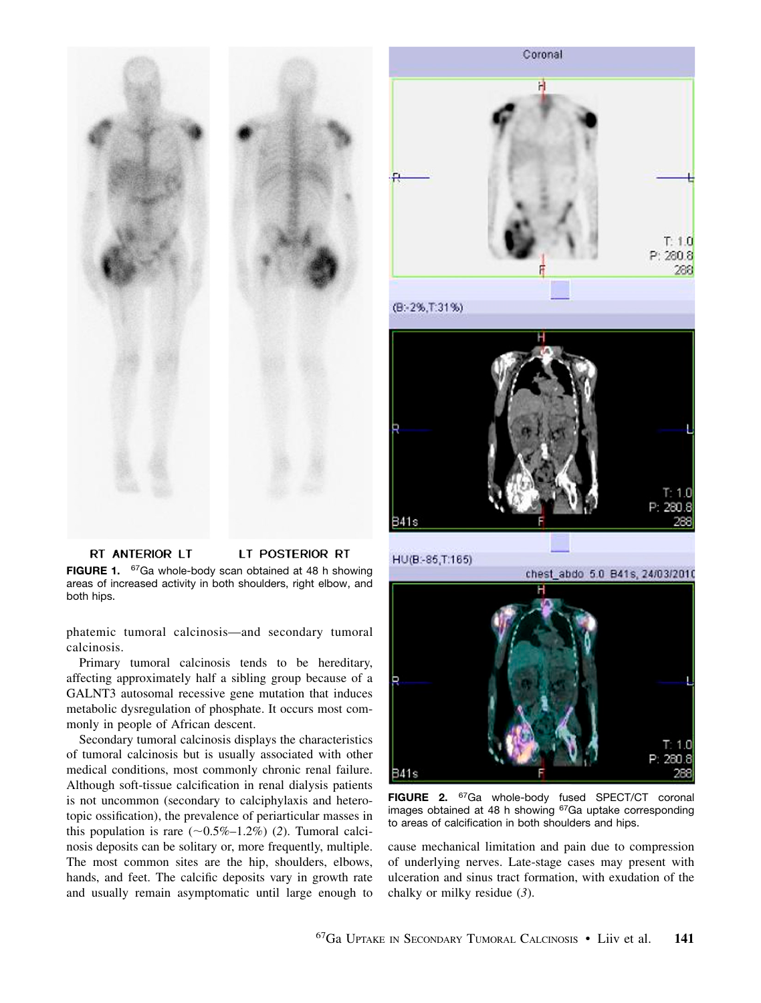



Coronal

FIGURE 2. <sup>67</sup>Ga whole-body fused SPECT/CT coronal images obtained at 48 h showing <sup>67</sup>Ga uptake corresponding to areas of calcification in both shoulders and hips.

cause mechanical limitation and pain due to compression of underlying nerves. Late-stage cases may present with ulceration and sinus tract formation, with exudation of the chalky or milky residue (3).

RT ANTERIOR LT LT POSTERIOR RT FIGURE 1. <sup>67</sup>Ga whole-body scan obtained at 48 h showing areas of increased activity in both shoulders, right elbow, and both hips.

phatemic tumoral calcinosis—and secondary tumoral calcinosis.

Primary tumoral calcinosis tends to be hereditary, affecting approximately half a sibling group because of a GALNT3 autosomal recessive gene mutation that induces metabolic dysregulation of phosphate. It occurs most commonly in people of African descent.

Secondary tumoral calcinosis displays the characteristics of tumoral calcinosis but is usually associated with other medical conditions, most commonly chronic renal failure. Although soft-tissue calcification in renal dialysis patients is not uncommon (secondary to calciphylaxis and heterotopic ossification), the prevalence of periarticular masses in this population is rare  $(\sim 0.5\% - 1.2\%)$  (2). Tumoral calcinosis deposits can be solitary or, more frequently, multiple. The most common sites are the hip, shoulders, elbows, hands, and feet. The calcific deposits vary in growth rate and usually remain asymptomatic until large enough to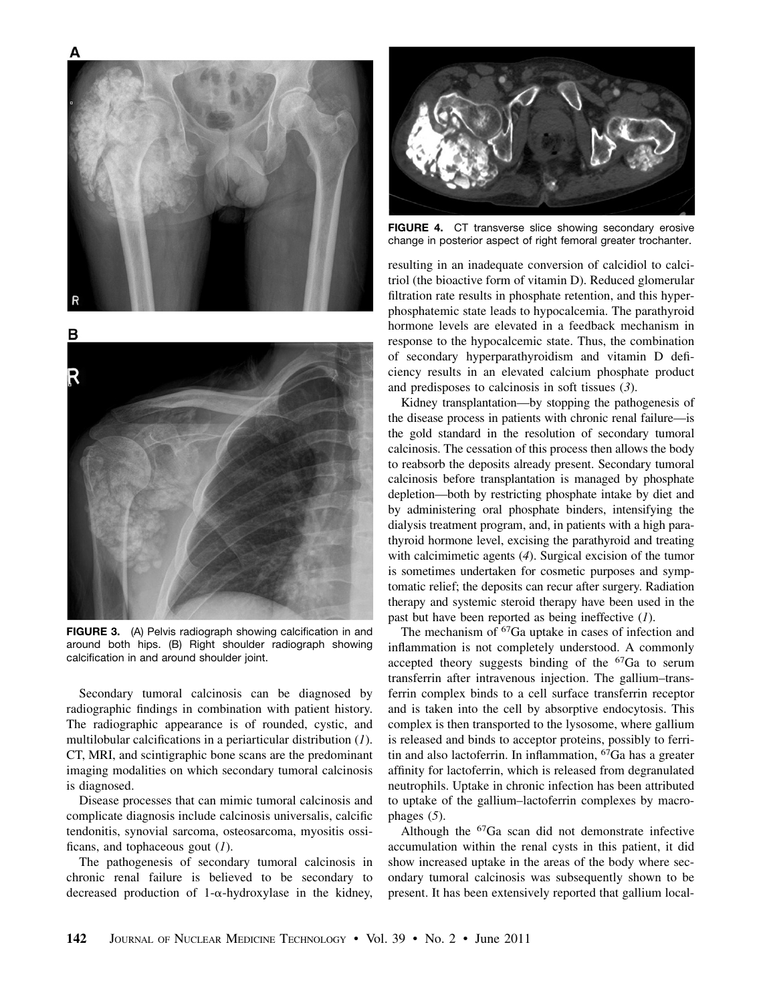

FIGURE 3. (A) Pelvis radiograph showing calcification in and around both hips. (B) Right shoulder radiograph showing calcification in and around shoulder joint.

Secondary tumoral calcinosis can be diagnosed by radiographic findings in combination with patient history. The radiographic appearance is of rounded, cystic, and multilobular calcifications in a periarticular distribution (1). CT, MRI, and scintigraphic bone scans are the predominant imaging modalities on which secondary tumoral calcinosis is diagnosed.

Disease processes that can mimic tumoral calcinosis and complicate diagnosis include calcinosis universalis, calcific tendonitis, synovial sarcoma, osteosarcoma, myositis ossificans, and tophaceous gout  $(1)$ .

The pathogenesis of secondary tumoral calcinosis in chronic renal failure is believed to be secondary to decreased production of  $1-\alpha$ -hydroxylase in the kidney,



FIGURE 4. CT transverse slice showing secondary erosive change in posterior aspect of right femoral greater trochanter.

resulting in an inadequate conversion of calcidiol to calcitriol (the bioactive form of vitamin D). Reduced glomerular filtration rate results in phosphate retention, and this hyperphosphatemic state leads to hypocalcemia. The parathyroid hormone levels are elevated in a feedback mechanism in response to the hypocalcemic state. Thus, the combination of secondary hyperparathyroidism and vitamin D deficiency results in an elevated calcium phosphate product and predisposes to calcinosis in soft tissues (3).

Kidney transplantation—by stopping the pathogenesis of the disease process in patients with chronic renal failure—is the gold standard in the resolution of secondary tumoral calcinosis. The cessation of this process then allows the body to reabsorb the deposits already present. Secondary tumoral calcinosis before transplantation is managed by phosphate depletion—both by restricting phosphate intake by diet and by administering oral phosphate binders, intensifying the dialysis treatment program, and, in patients with a high parathyroid hormone level, excising the parathyroid and treating with calcimimetic agents (4). Surgical excision of the tumor is sometimes undertaken for cosmetic purposes and symptomatic relief; the deposits can recur after surgery. Radiation therapy and systemic steroid therapy have been used in the past but have been reported as being ineffective  $(I)$ .

The mechanism of <sup>67</sup>Ga uptake in cases of infection and inflammation is not completely understood. A commonly accepted theory suggests binding of the <sup>67</sup>Ga to serum transferrin after intravenous injection. The gallium–transferrin complex binds to a cell surface transferrin receptor and is taken into the cell by absorptive endocytosis. This complex is then transported to the lysosome, where gallium is released and binds to acceptor proteins, possibly to ferritin and also lactoferrin. In inflammation, 67Ga has a greater affinity for lactoferrin, which is released from degranulated neutrophils. Uptake in chronic infection has been attributed to uptake of the gallium–lactoferrin complexes by macrophages (5).

Although the 67Ga scan did not demonstrate infective accumulation within the renal cysts in this patient, it did show increased uptake in the areas of the body where secondary tumoral calcinosis was subsequently shown to be present. It has been extensively reported that gallium local